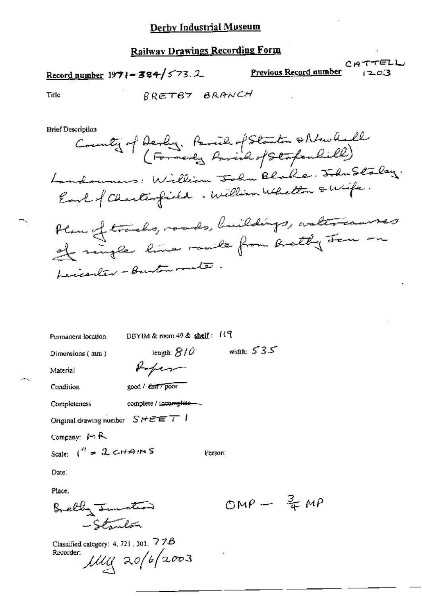## **Railway Drawings Recording Form**

# Record number  $1971 - 384 / 573$ . 2

Previous Record number

CATTELL 203

Title

RRETBY BRANCH

**Brief Description** 

Permanent location

DBYIM & room 49 & shelf: 119

length:  $8/0$ 

Refer

complete / incomplete-

Dimensions (mm)

width:  $535$ 

Person:

Material

Condition

good / *Exit 7 poor* 

Completeness

Original drawing number  $SHEE$  T  $\bar{I}$ 

Company:  $M \wedge R$ 

Scale:  $1'' = 2cHANST$ 

Date:

Place:

Bretty Junction -Stanlón

Classified category: 4, 721, 301,  $77B$  $\mu$ uy 20/6/2003 Recorder:

OMP  $\frac{3}{4}MP$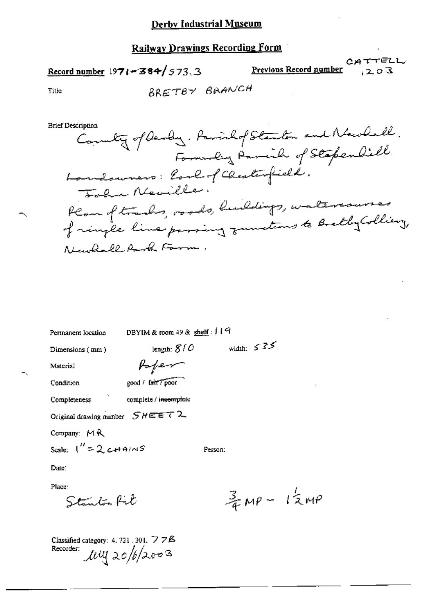Railway Drawings Recording Form

## Record number  $1971 - 384 / 573$ , 3

 $CATTELL$ Previous Record number  $203$ 

Title

**Brief Description** 

 $\overline{\phantom{a}}$ 

| Permanent location                | DBYIM & room 49 & shelf: $119$     |         |              |                                      |
|-----------------------------------|------------------------------------|---------|--------------|--------------------------------------|
| Dimensions (mm)                   | length: $810$                      |         | width: $535$ |                                      |
| Material                          | Report                             |         |              |                                      |
| Condition                         | good / tait / poor                 |         |              |                                      |
| Completeness                      | complete / i <del>ncomple</del> te |         |              |                                      |
| Original drawing number $SHEET$ 2 |                                    |         |              |                                      |
| Company: $M R$                    |                                    |         |              |                                      |
| Scale: $1'' = 2$ c+41NS           |                                    | Person: |              |                                      |
| Date:                             |                                    |         |              |                                      |
| Place:                            |                                    |         |              |                                      |
| Stanlon Ret                       |                                    |         |              | $\frac{3}{4}$ MP - $1\frac{1}{2}$ MP |

Classified category: 4, 721, 301,  $778$ Recorder: *luly* 20/6/2003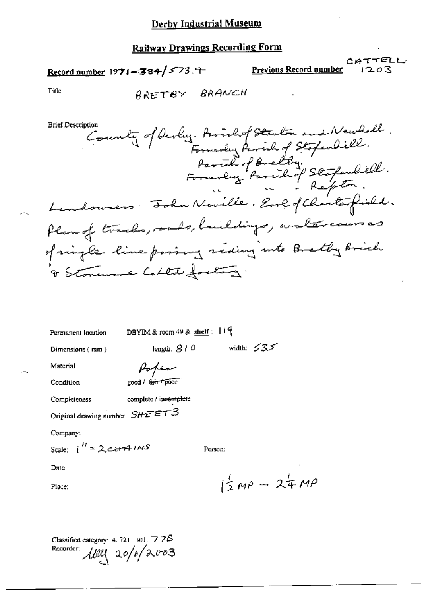#### Derby Industrial Museum

#### Railway Drawings Recording Form

Record number 1971-384/573.7

CATTELL Previous Record number

Title

BRETBY BRANCH

**Brief Description** 

County of Devly. Parishof Starton and Newball.<br>Formerly Parishof Stopenbill.<br>Formerly Parishof Stopenbill. Landowners: Folm Neville. Eve of Charles field. Plan of tracks, ords, buildings, waltercourses of might line passing seding into Brathy Brich & Stoneware Collect footing.

| Permanent location |  |
|--------------------|--|
|                    |  |

DBYIM & room  $49$  & shelf: 119

length:  $810$ 

Dimensions (mm)

width:  $\leq$  3.5

Material

Poper

Condition

good / fair / poor

complete / incomplete **Completeness** 

Original drawing number  $SHE E \tau 3$ 

Company:

Scale:  $i^{\prime\prime} = 2c + 14$  in S

Person:

Date:

Place:

 $12M^{\circ} - 24M^{\circ}$ 

Classified category: 4, 721, 301,  $\triangledown$  7 $\beta$ Recorder: 11920 20/6/2003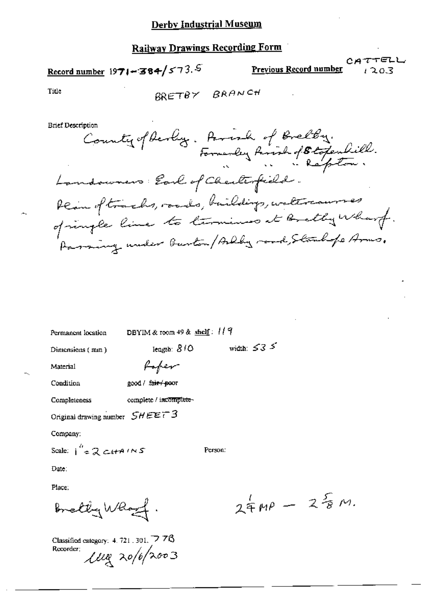## **Railway Drawings Recording Form**

Record number 1971-384/573.5

Previous Record number

CATTELL テスのス

Title

$$
\mathsf{BR} \mathsf{TT} \mathsf{B} \mathsf{Y} \quad \mathsf{BR} \mathsf{AN} \mathsf{CH}
$$

**Brief Description** 

iption<br>County of Devloy. Parish of Brelby.<br>Formerly Parish of Blogenhill. Landowners: Earl of Checkerfield. Rein of tracks, roads, buildings, watercourses Paraing under Burton / Arkly road, Stanlipe Arms.

Permanent location

DBYIM & room 49 & shelf: 119

length: 810

Dimensions (mm)

width:  $\leq$  3  $\leq$ 

Material

Poper

Condition

good / fair / poor

complete / incomplete-Completeness

Original drawing number  $SHEEF3$ 

Company:

Scale:  $i^{\prime\prime}$  = 2 cita INS

Person:

Date:

Place:

Bretty Whost.

Classified category: 4, 721, 301, 778 Recorder;  $\mu_{\alpha}$  20/6/2003

 $24MP - 28M$ .